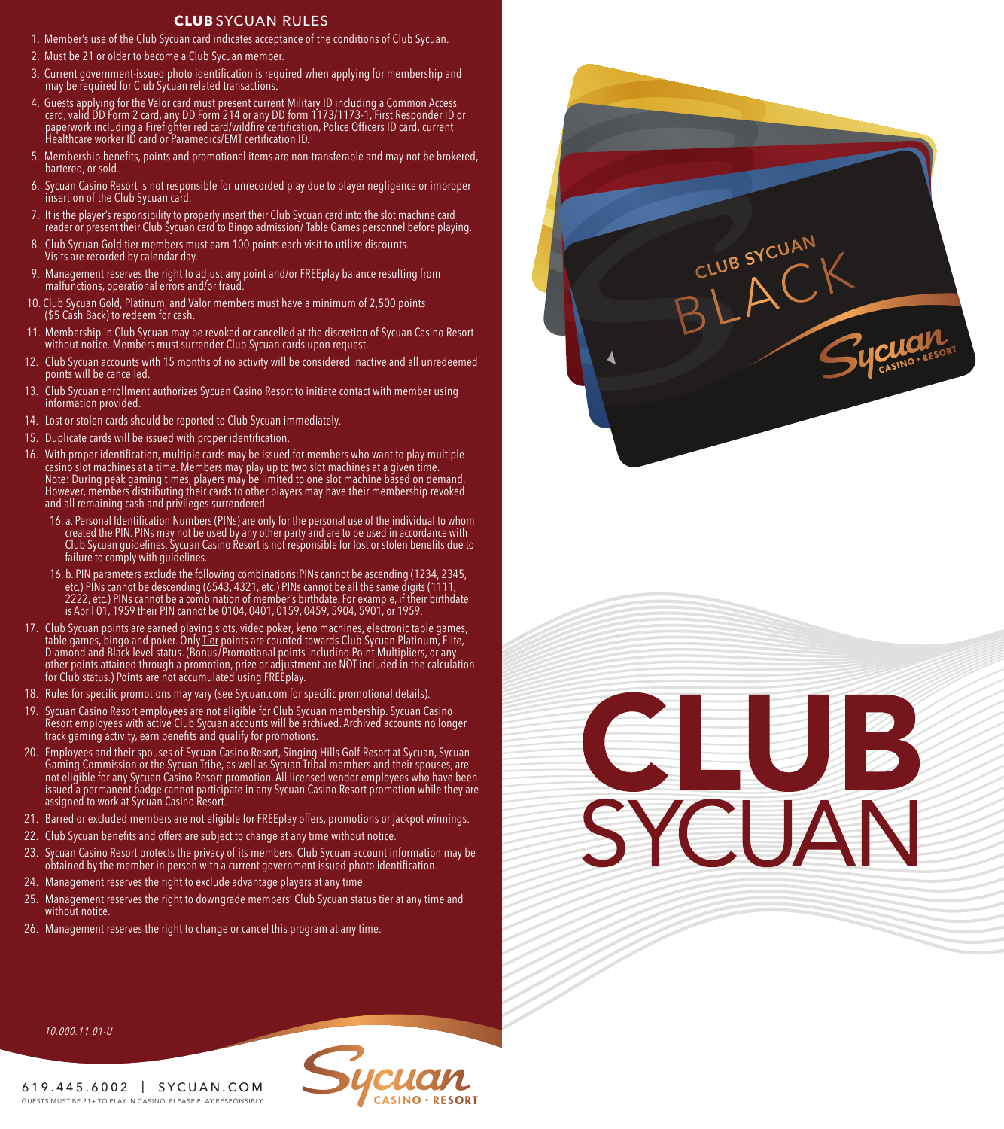## **CLUB** SYCUAN RULES

- 1. Member's use of the Club Sycuan card indicates acceptance of the conditions of Club Sycuan.
- 2. Must be 21 or older to become a Club Sycuan member.
- 3. Current government-issued photo identification is required when applying for membership and may be required for Club Sycuan related transactions.
- 4. Guests applying for the Valor card must present current Military ID including a Common Access<br>card, valid DD Form 2 card, any DD Form 214 or any DD form 1173/1173-1, First Responder ID or<br>paperwork including a Firefight
- 5. Membership benefits, points and promotional items are non-transferable and may not be brokered, bartered, or sold.
- 6. Sycuan Casino Resort is not responsible for unrecorded play due to player negligence or improper insertion of the Club Sycuan card.
- 7. It is the player's responsibility to properly insert their Club Sycuan card into the slot machine card reader or present their Club Sycuan card to Bingo admission/ Table Games personnel before playing.
- 8. Club Sycuan Gold tier members must earn 100 points each visit to utilize discounts. Visits are recorded by calendar day.
- 9. Management reserves the right to adjust any point and/or FREEplay balance resulting from malfunctions, operational errors and/or fraud.
- 10. Club Sycuan Gold, Platinum, and Valor members must have a minimum of 2,500 points (\$5 Cash Back) to redeem for cash.
- 11. Membership in Club Sycuan may be revoked or cancelled at the discretion of Sycuan Casino Resort without notice. Members must surrender Club Sycuan cards upon request.
- 12. Club Sycuan accounts with 15 months of no activity will be considered inactive and all unredeemed points will be cancelled.
- 13. Club Sycuan enrollment authorizes Sycuan Casino Resort to initiate contact with member using information provided.
- 14. Lost or stolen cards should be reported to Club Sycuan immediately.
- 15. Duplicate cards will be issued with proper identification.
- 16. With proper identification, multiple cards may be issued for members who want to play multiple casino slot machines at a time. Members may play up to two slot machines at a given time.<br>Note: During peak gaming times, players may be limited to one slot machine based on demand.<br>However, members distributing their card and all remaining cash and privileges surrendered.
	- 16. a. Personal Identification Numbers (PINs) are only for the personal use of the individual to whom created the PIN. PINs may not be used by any other party and are to be used in accordance with Club Sycuan guidelines. Sycuan Casino Resort is not responsible for lost or stolen benefits due to failure to comply with guidelines.
	- 16. b. PIN parameters exclude the following combinations:PINs cannot be ascending (1234, 2345, etc.) PINs cannot be descending (6543, 4321, etc.) PINs cannot be all the same digits (1111, is April 01, 1959 their PIN cannot be 0104, 0401, 0159, 0459, 5904, 5901, or 1959.
- 17. Club Sycuan points are earned playing slots, video poker, keno machines, electronic table games,<br>table games, bingo and poker. Only <u>Tier</u> points are counted towards Club Sycuan Platinum, Elite,<br>Diamond and Black level for Club status.) Points are not accumulated using FREEplay.
- 18. Rules for specific promotions may vary (see Sycuan.com for specific promotional details).
- 19. Sycuan Casino Resort employees are not eligible for Club Sycuan membership. Sycuan Casino Resort employees with active Club Sycuan accounts will be archived. Archived accounts no longer track gaming activity, earn benefits and qualify for promotions.
- 20. Employees and their spouses of Sycuan Casino Resort, Singing Hills Golf Resort at Sycuan, Sycuan Gaming Commission or the Sycuan Tribe, as well as Sycuan Tribal members and their spouses, are not eligible for any Sycuan Casino Resort promotion. All licensed vendor employees who have been issued a permanent badge cannot participate in any Sycuan Casino Resort promotion while they are assigned to work at Sycuan Casino Resort.
- 21. Barred or excluded members are not eligible for FREEplay offers, promotions or jackpot winnings.
- 22. Club Sycuan benefits and offers are subject to change at any time without notice.
- 23. Sycuan Casino Resort protects the privacy of its members. Club Sycuan account information may be obtained by the member in person with a current government issued photo identification.
- 24. Management reserves the right to exclude advantage players at any time.
- 25. Management reserves the right to downgrade members' Club Sycuan status tier at any time and without notice.
- 26. Management reserves the right to change or cancel this program at any time.



## **CLUB**<br>SYCUAN

10,000.11.01-U